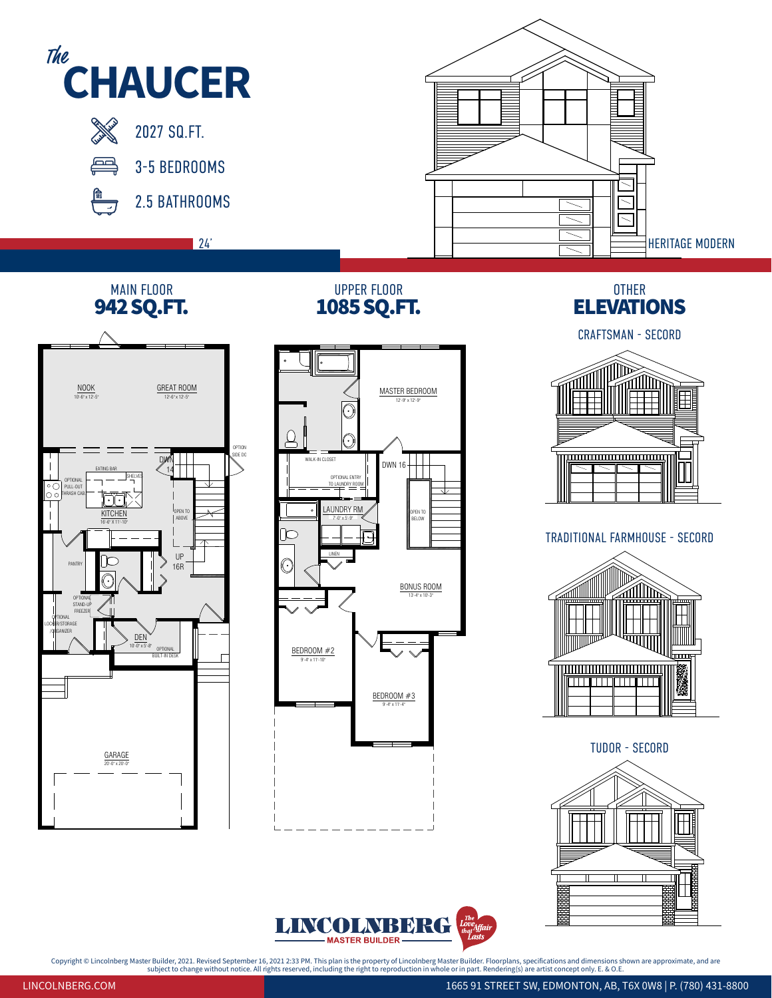

 $\blacksquare$  MP MD $\blacksquare$   $\blacksquare$   $\blacksquare$  $\frac{1}{\text{B}}$ TOTAL 2025 SQ.FT.  $M$  **R**  $\mathbf{R}$   $\mathbf{D}$   $\mathbf{L}$   $L^{the}$  $\frac{1}{\text{DED}}$ TOTAL 2025 SQ.FT. 2025 SQ.FT. 2025 SQ.FT. 2025 SQ.FT. 2025 SQ.FT. 2025 SQ.FT. 2025 SQ.FT. 2025 SQ.FT. 2025 SQ.FT.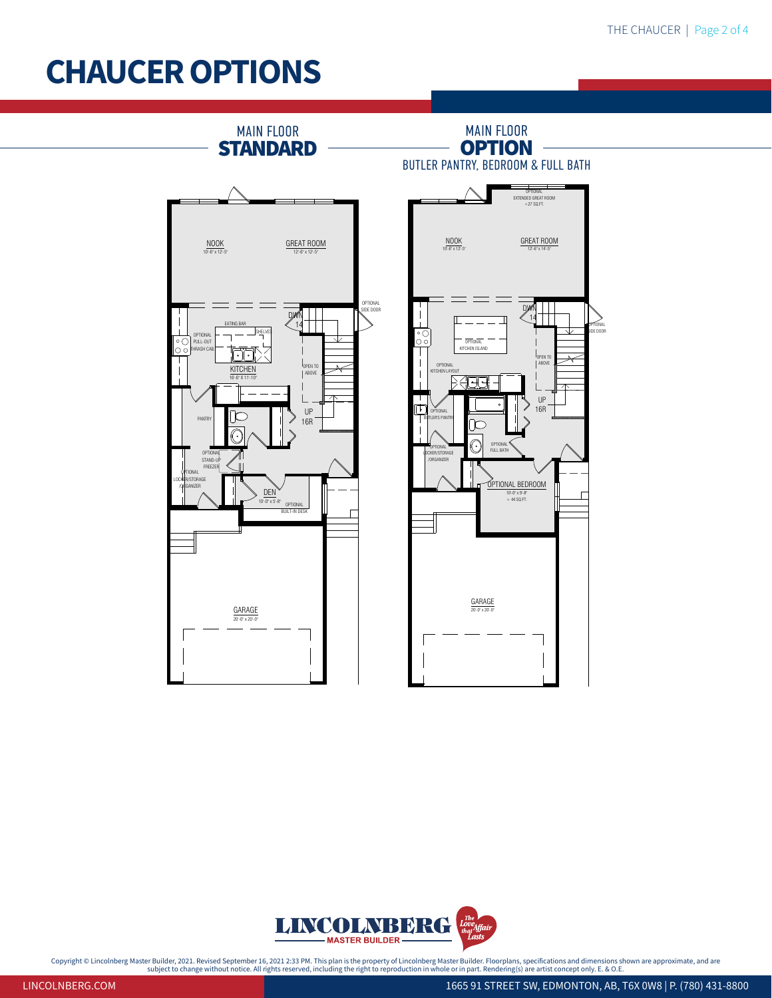## CHAUCER OPTIONS



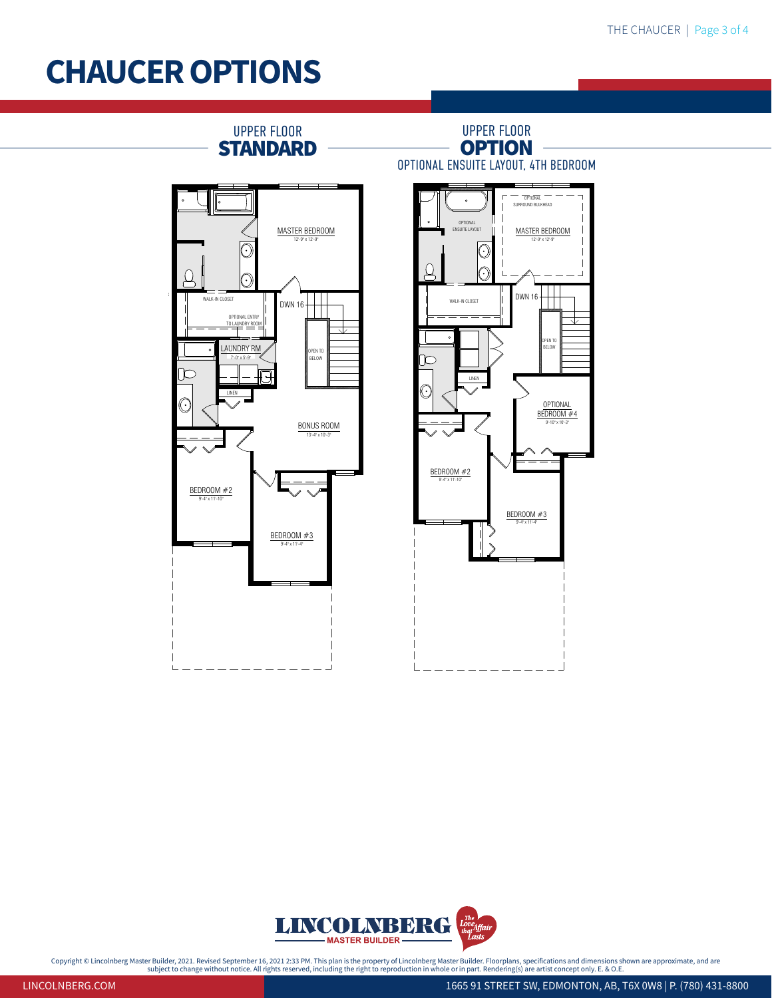## CHAUCER OPTIONS